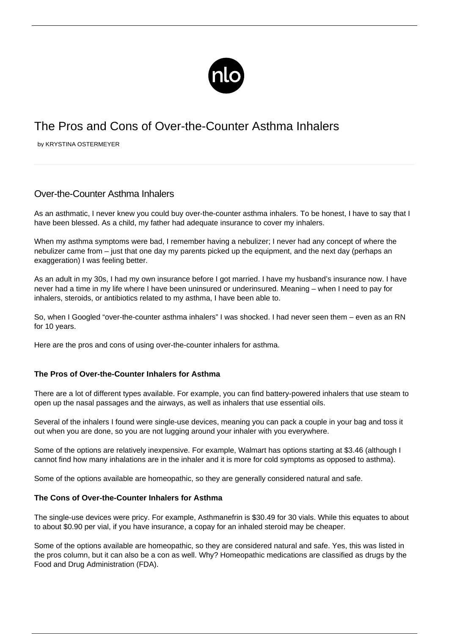

# The Pros and Cons of Over-the-Counter Asthma Inhalers

by KRYSTINA OSTERMEYER

## Over-the-Counter Asthma Inhalers

As an asthmatic, I never knew you could buy over-the-counter asthma inhalers. To be honest, I have to say that I have been blessed. As a child, my father had adequate insurance to cover my inhalers.

When my [asthma symptoms](/symptoms-asthma/) were bad, I remember having a nebulizer; I never had any concept of where the nebulizer came from – just that one day my parents picked up the equipment, and the next day (perhaps an exaggeration) I was feeling better.

As an adult in my 30s, I had my own insurance before I got married. I have my husband's insurance now. I have never had a time in my life where I have been uninsured or underinsured. Meaning – when I need to pay for inhalers, steroids, or antibiotics related to my asthma, I have been able to.

So, when I Googled "over-the-counter asthma inhalers" I was shocked. I had never seen them – even as an RN for 10 years.

Here are the pros and cons of using over-the-counter inhalers for asthma.

#### **The Pros of Over-the-Counter Inhalers for Asthma**

There are a lot of different types available. For example, you can find battery-powered inhalers that use steam to open up the nasal passages and the airways, as well as inhalers that use essential oils.

Several of the inhalers I found were single-use devices, meaning you can pack a couple in your bag and toss it out when you are done, so you are not lugging around your inhaler with you everywhere.

Some of the options are relatively inexpensive. For example, Walmart has options starting at \$3.46 (although I cannot find how many inhalations are in the inhaler and it is more for cold symptoms as opposed to asthma).

Some of the options available are homeopathic, so they are generally considered natural and safe.

#### **The Cons of Over-the-Counter Inhalers for Asthma**

The single-use devices were pricy. For example, [Asthmanefrin](https://www.walmart.com/ip/Asthmanefrin-Racepinephrine-Inhalation-Solution-Bronchodilator-Refill-Vials-30-count/21812591#about-item) is \$30.49 for 30 vials. While this equates to about to about \$0.90 per vial, if you have insurance, a copay for an inhaled steroid may be cheaper.

Some of the options available are homeopathic, so they are considered natural and safe. Yes, this was listed in the pros column, but it can also be a con as well. Why? Homeopathic medications are classified as drugs by the [Food and Drug Administration \(FDA\).](https://www.fda.gov/drugs/information-drug-class/homeopathic-products)